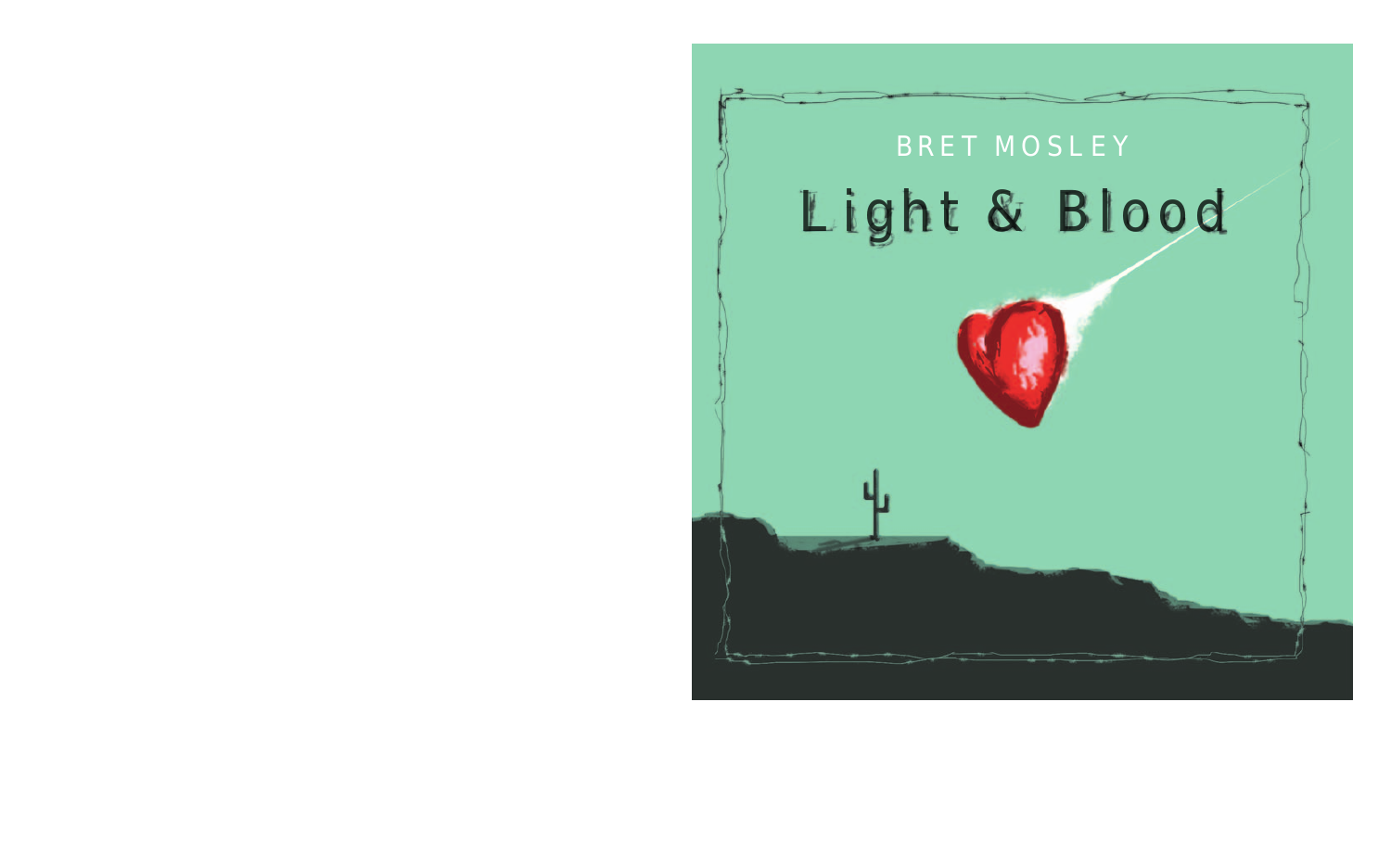# Light & Blood BRET MOSLEY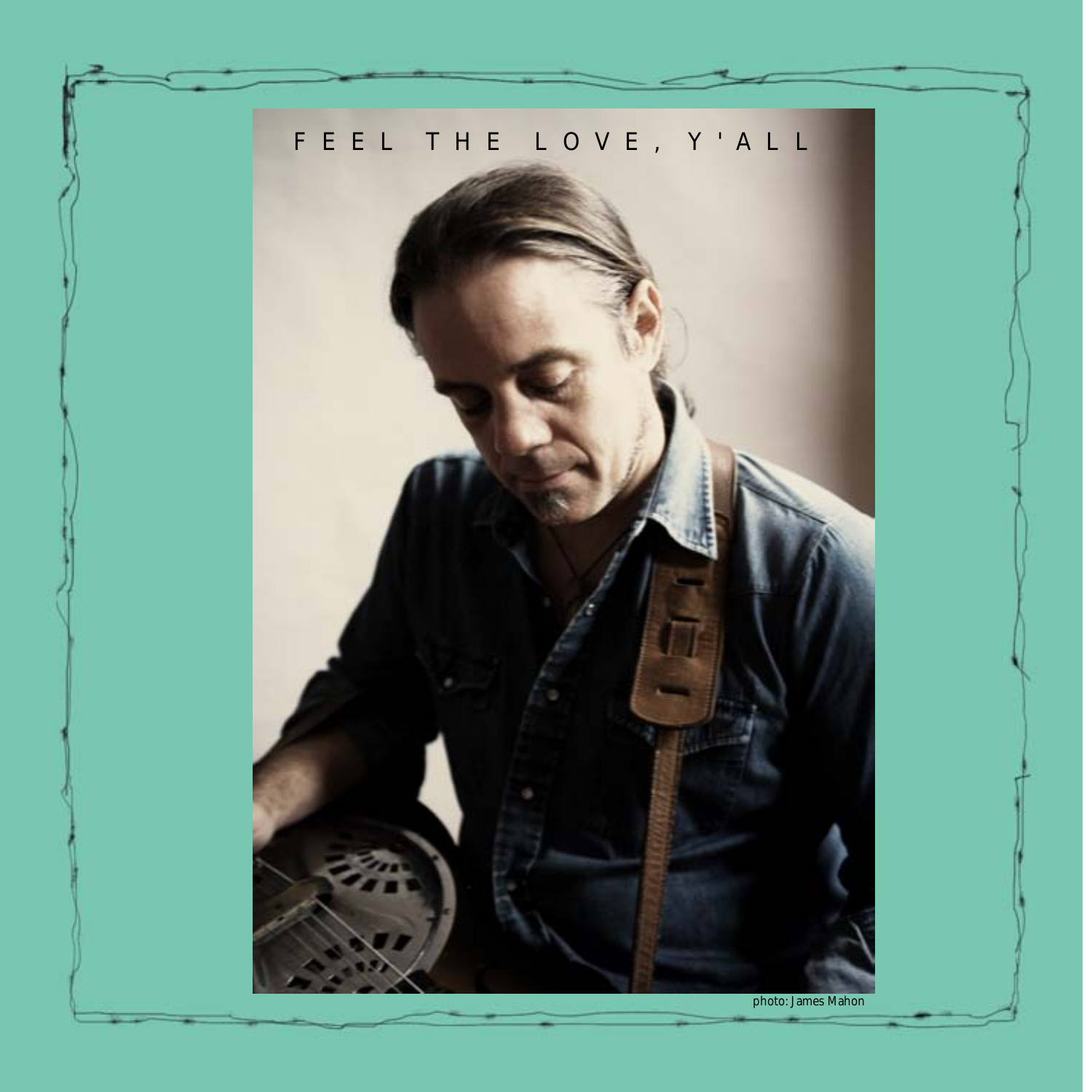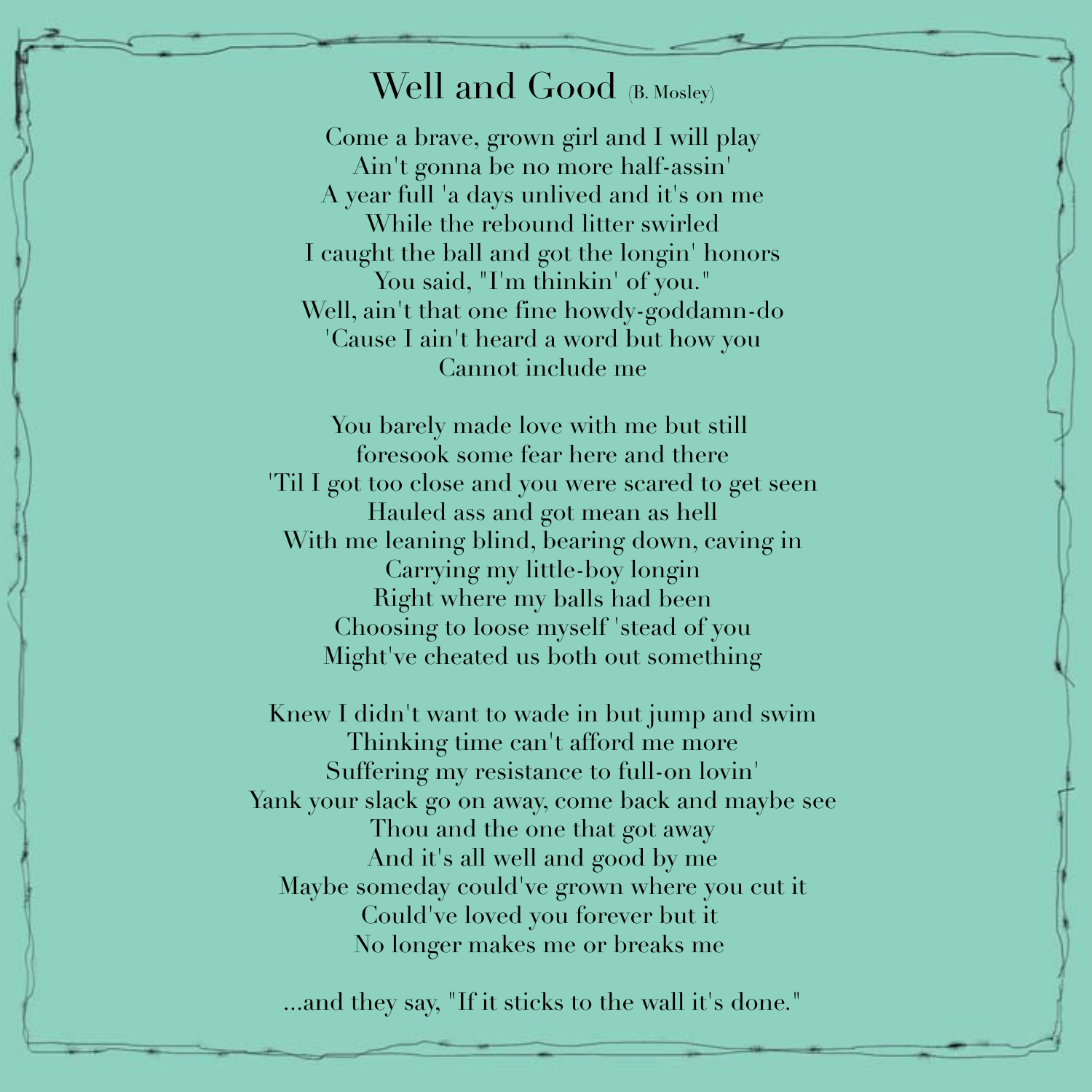## Well and Good (B. Mosley)

Come a brave, grown girl and I will play Ain't gonna be no more half-assin' A year full 'a days unlived and it's on me While the rebound litter swirled I caught the ball and got the longin' honors You said, "I'm thinkin' of you." Well, ain't that one fine howdy-goddamn-do 'Cause I ain't heard a word but how you Cannot include me

You barely made love with me but still foresook some fear here and there 'Til I got too close and you were scared to get seen Hauled ass and got mean as hell With me leaning blind, bearing down, caving in Carrying my little-boy longin Right where my balls had been Choosing to loose myself 'stead of you Might've cheated us both out something

Knew I didn't want to wade in but jump and swim Thinking time can't afford me more Suffering my resistance to full-on lovin' Yank your slack go on away, come back and maybe see Thou and the one that got away And it's all well and good by me Maybe someday could've grown where you cut it Could've loved you forever but it No longer makes me or breaks me

...and they say, "If it sticks to the wall it's done."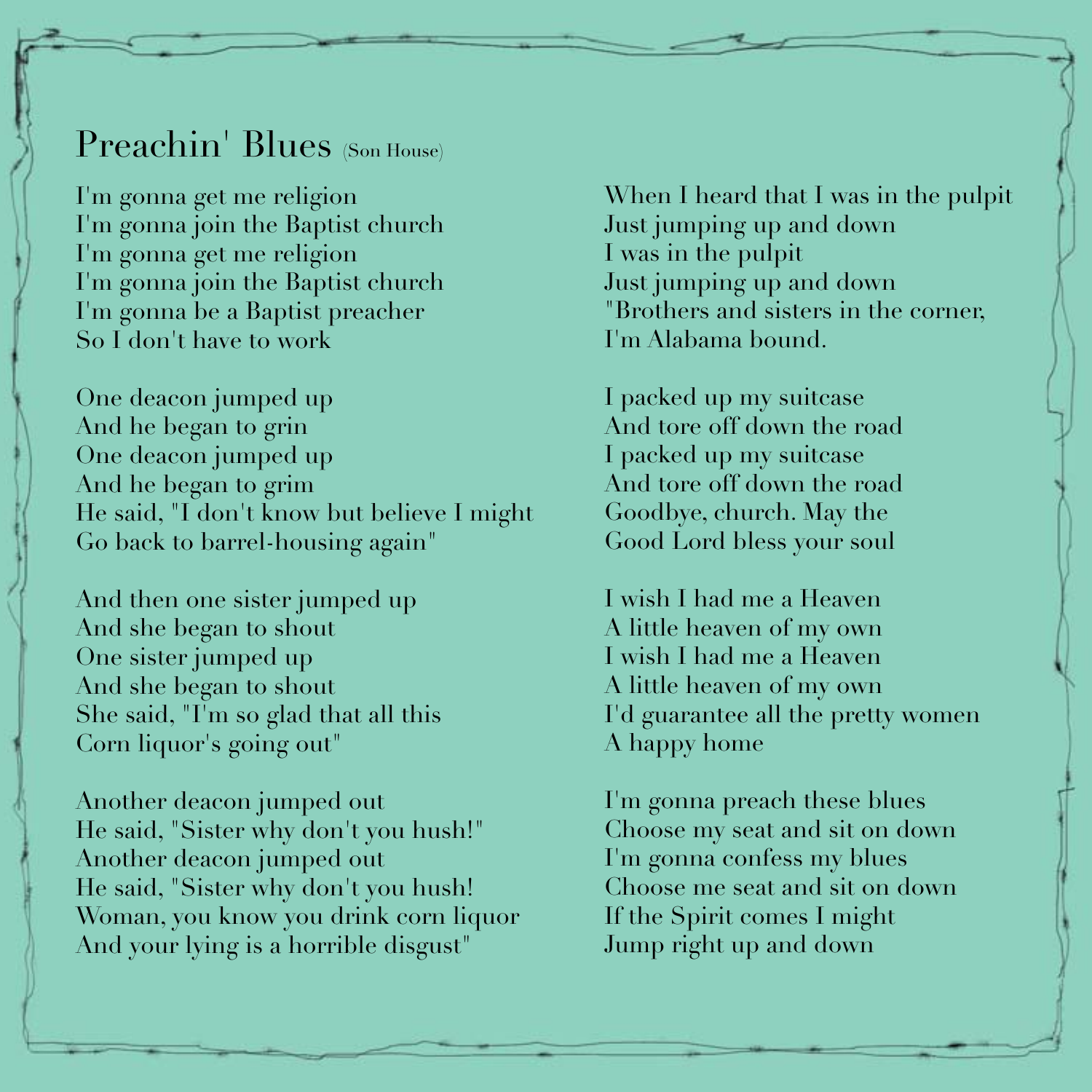#### Preachin' Blues (Son House)

I'm gonna get me religion I'm gonna join the Baptist church I'm gonna get me religion I'm gonna join the Baptist church I'm gonna be a Baptist preacher So I don't have to work

One deacon jumped up And he began to grin One deacon jumped up And he began to grim He said, "I don't know but believe I might Go back to barrel-housing again"

And then one sister jumped up And she began to shout One sister jumped up And she began to shout She said, "I'm so glad that all this Corn liquor's going out"

Another deacon jumped out He said, "Sister why don't you hush!" Another deacon jumped out He said, "Sister why don't you hush! Woman, you know you drink corn liquor And your lying is a horrible disgust"

When I heard that I was in the pulpit Just jumping up and down I was in the pulpit Just jumping up and down "Brothers and sisters in the corner, I'm Alabama bound.

I packed up my suitcase And tore off down the road I packed up my suitcase And tore off down the road Goodbye, church. May the Good Lord bless your soul

I wish I had me a Heaven A little heaven of my own I wish I had me a Heaven A little heaven of my own I'd guarantee all the pretty women A happy home

I'm gonna preach these blues Choose my seat and sit on down I'm gonna confess my blues Choose me seat and sit on down If the Spirit comes I might Jump right up and down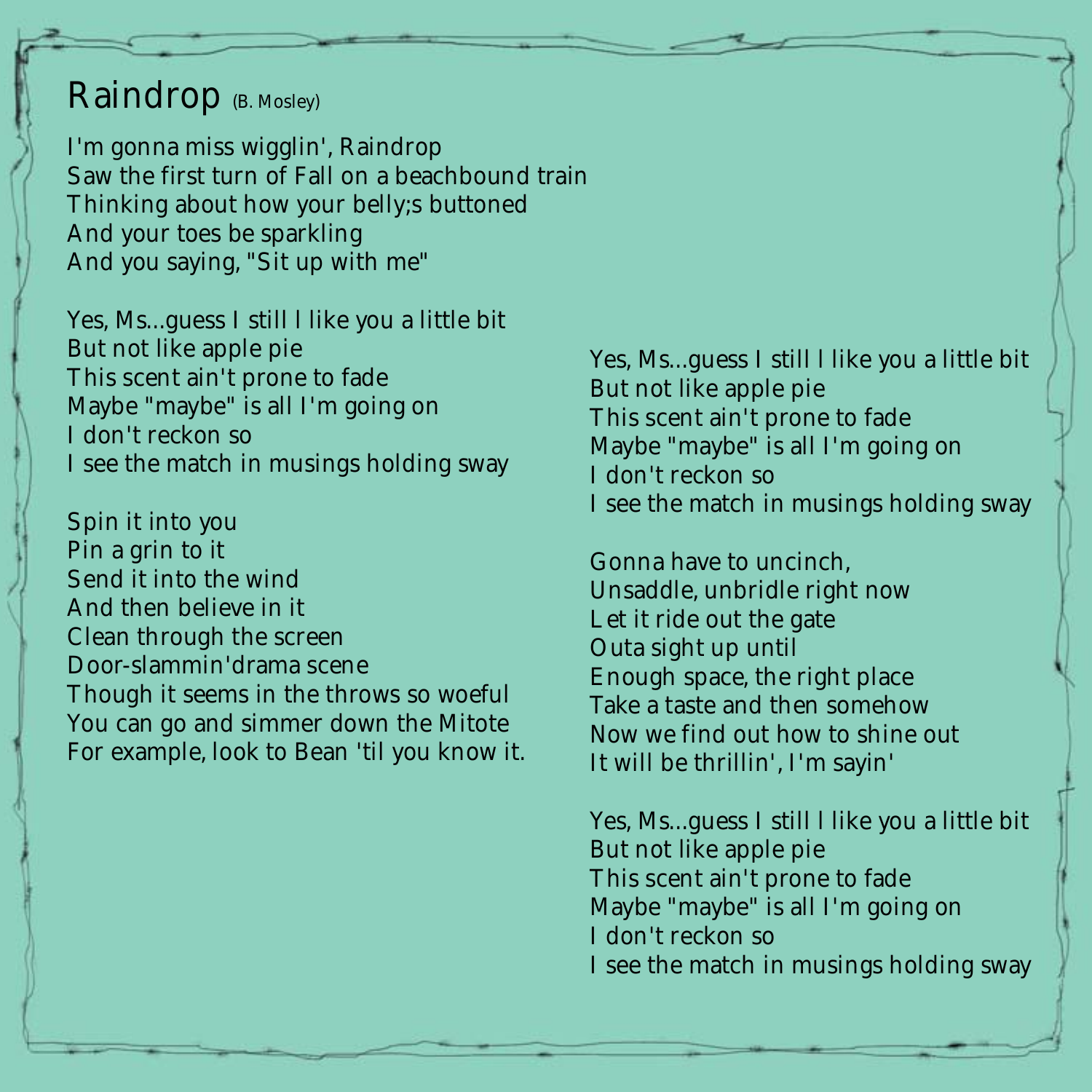## Raindrop (B. Mosley)

I'm gonna miss wigglin', Raindrop Saw the first turn of Fall on a beachbound train Thinking about how your belly;s buttoned And your toes be sparkling And you saying, "Sit up with me"

Yes, Ms...guess I still l like you a little bit But not like apple pie This scent ain't prone to fade Maybe "maybe" is all I'm going on I don't reckon so I see the match in musings holding sway

Spin it into you Pin a grin to it Send it into the wind And then believe in it Clean through the screen Door-slammin'drama scene Though it seems in the throws so woeful You can go and simmer down the Mitote For example, look to Bean 'til you know it. Yes, Ms...guess I still l like you a little bit But not like apple pie This scent ain't prone to fade Maybe "maybe" is all I'm going on I don't reckon so I see the match in musings holding sway

Gonna have to uncinch, Unsaddle, unbridle right now Let it ride out the gate Outa sight up until Enough space, the right place Take a taste and then somehow Now we find out how to shine out It will be thrillin', I'm sayin'

Yes, Ms...guess I still l like you a little bit But not like apple pie This scent ain't prone to fade Maybe "maybe" is all I'm going on I don't reckon so I see the match in musings holding sway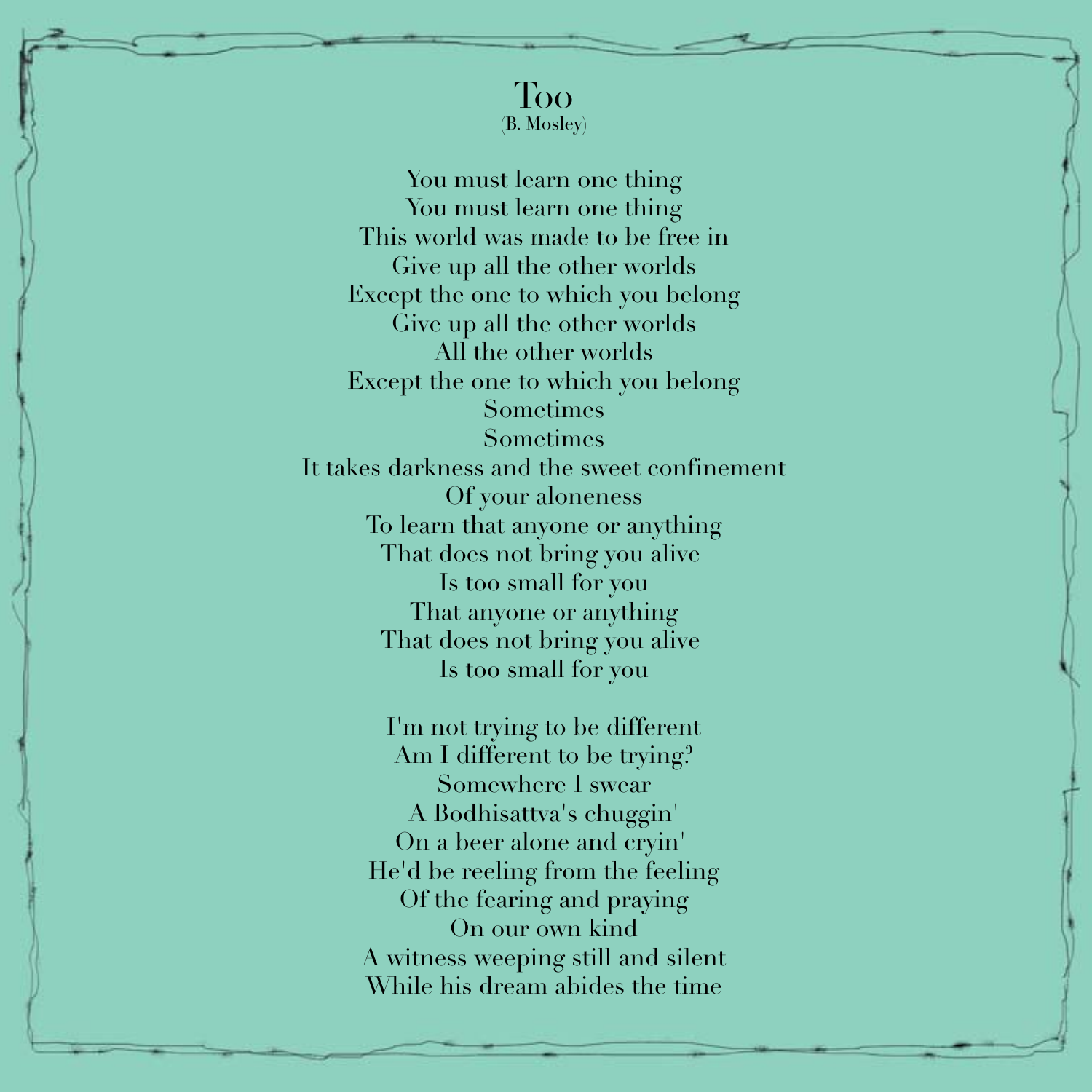You must learn one thing You must learn one thing This world was made to be free in Give up all the other worlds Except the one to which you belong Give up all the other worlds All the other worlds Except the one to which you belong Sometimes Sometimes It takes darkness and the sweet confinement Of your aloneness To learn that anyone or anything That does not bring you alive Is too small for you That anyone or anything That does not bring you alive Is too small for you

> I'm not trying to be different Am I different to be trying? Somewhere I swear A Bodhisattva's chuggin' On a beer alone and cryin' He'd be reeling from the feeling Of the fearing and praying On our own kind A witness weeping still and silent While his dream abides the time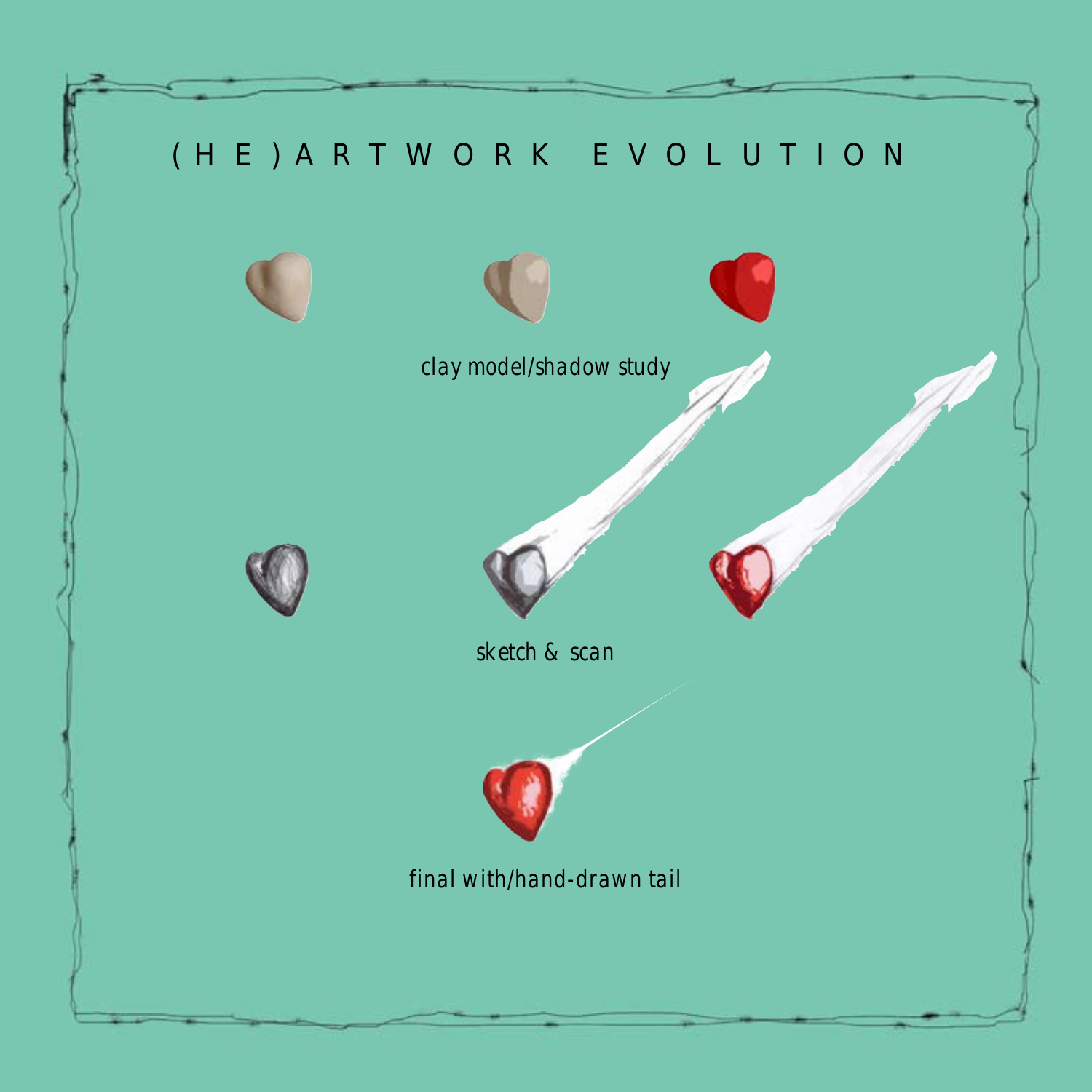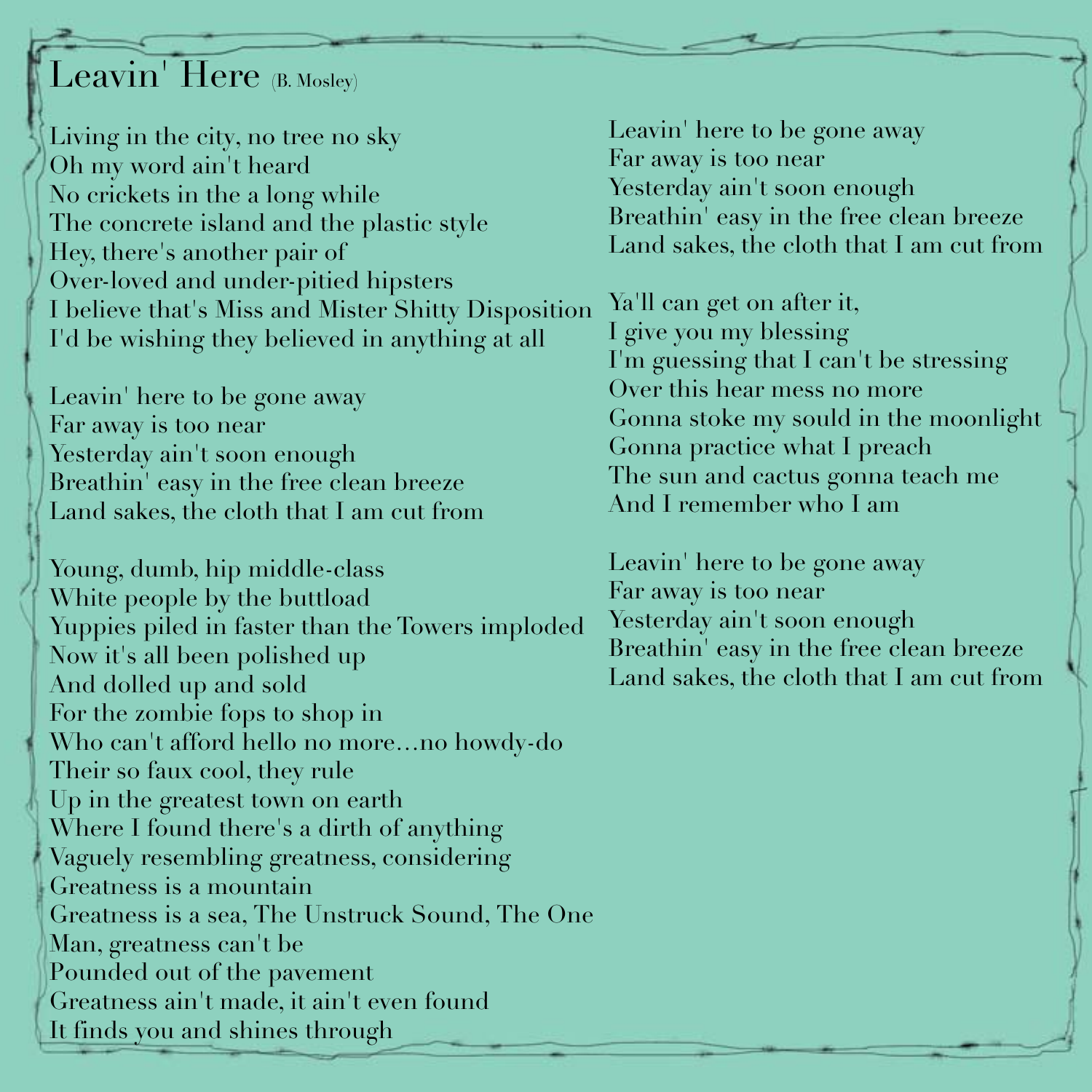# Leavin' Here (B. Mosley)

Living in the city, no tree no sky Oh my word ain't heard No crickets in the a long while The concrete island and the plastic style Hey, there's another pair of Over-loved and under-pitied hipsters I believe that's Miss and Mister Shitty Disposition I'd be wishing they believed in anything at all

Leavin' here to be gone away Far away is too near Yesterday ain't soon enough Breathin' easy in the free clean breeze Land sakes, the cloth that I am cut from

Young, dumb, hip middle-class White people by the buttload Yuppies piled in faster than the Towers imploded Now it's all been polished up And dolled up and sold For the zombie fops to shop in Who can't afford hello no more…no howdy-do Their so faux cool, they rule Up in the greatest town on earth Where I found there's a dirth of anything Vaguely resembling greatness, considering Greatness is a mountain Greatness is a sea, The Unstruck Sound, The One Man, greatness can't be Pounded out of the pavement Greatness ain't made, it ain't even found It finds you and shines through

Leavin' here to be gone away Far away is too near Yesterday ain't soon enough Breathin' easy in the free clean breeze Land sakes, the cloth that I am cut from

Ya'll can get on after it, I give you my blessing I'm guessing that I can't be stressing Over this hear mess no more Gonna stoke my sould in the moonlight Gonna practice what I preach The sun and cactus gonna teach me And I remember who I am

Leavin' here to be gone away Far away is too near Yesterday ain't soon enough Breathin' easy in the free clean breeze Land sakes, the cloth that I am cut from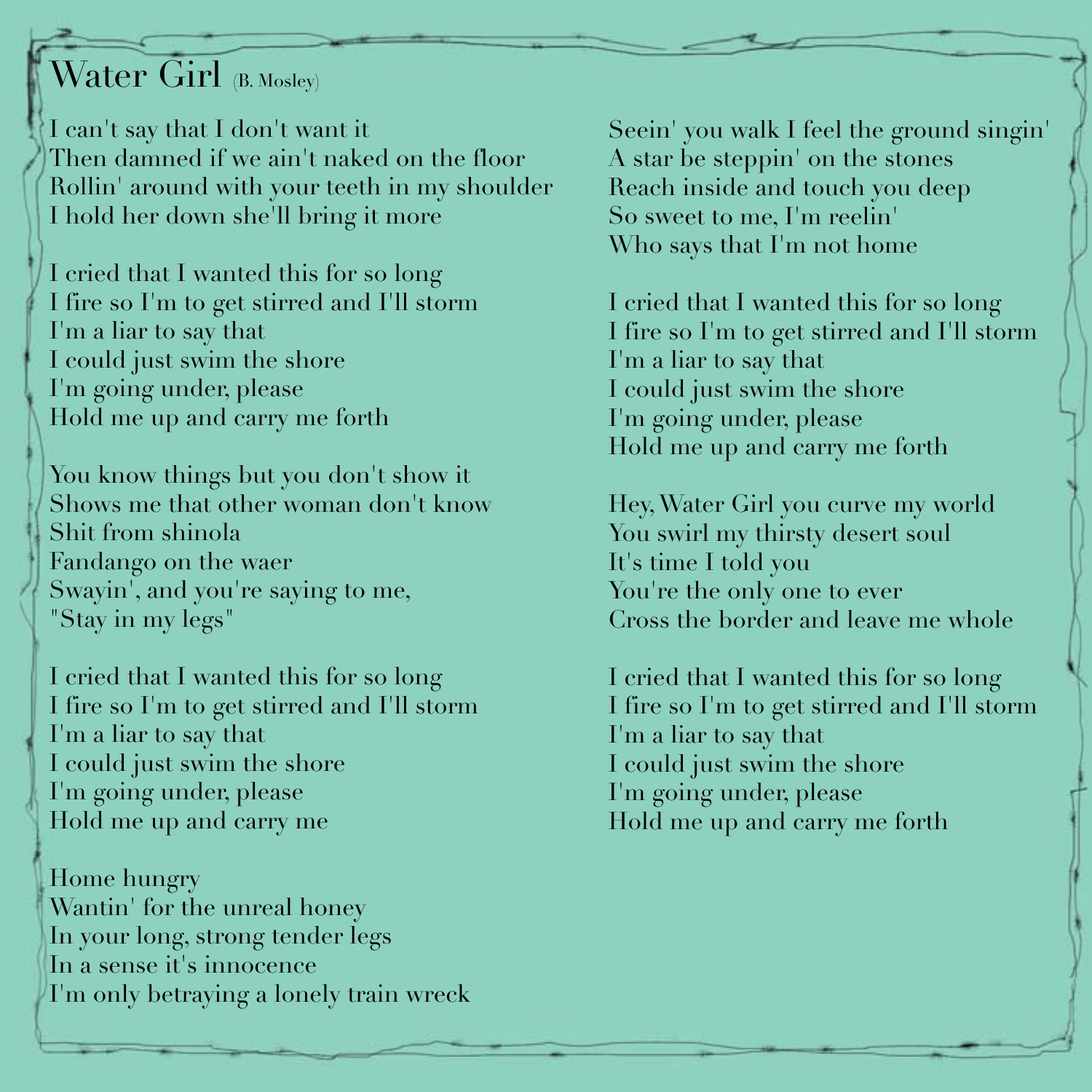# Water Girl (B. Mosley)

I can't say that I don't want it Then damned if we ain't naked on the floor Rollin' around with your teeth in my shoulder I hold her down she'll bring it more

I cried that I wanted this for so long I fire so I'm to get stirred and I'll storm I'm a liar to say that I could just swim the shore I'm going under, please Hold me up and carry me forth

You know things but you don't show it Shows me that other woman don't know Shit from shinola Fandango on the waer Swayin', and you're saying to me, "Stay in my legs"

I cried that I wanted this for so long I fire so I'm to get stirred and I'll storm I'm a liar to say that I could just swim the shore I'm going under, please Hold me up and carry me

Home hungry Wantin' for the unreal honey In your long, strong tender legs In a sense it's innocence I'm only betraying a lonely train wreck Seein' you walk I feel the ground singin' A star be steppin' on the stones Reach inside and touch you deep So sweet to me, I'm reelin' Who says that I'm not home

I cried that I wanted this for so long I fire so I'm to get stirred and I'll storm I'm a liar to say that I could just swim the shore I'm going under, please Hold me up and carry me forth

Hey, Water Girl you curve my world You swirl my thirsty desert soul It's time I told you You're the only one to ever Cross the border and leave me whole

I cried that I wanted this for so long I fire so I'm to get stirred and I'll storm I'm a liar to say that I could just swim the shore I'm going under, please Hold me up and carry me forth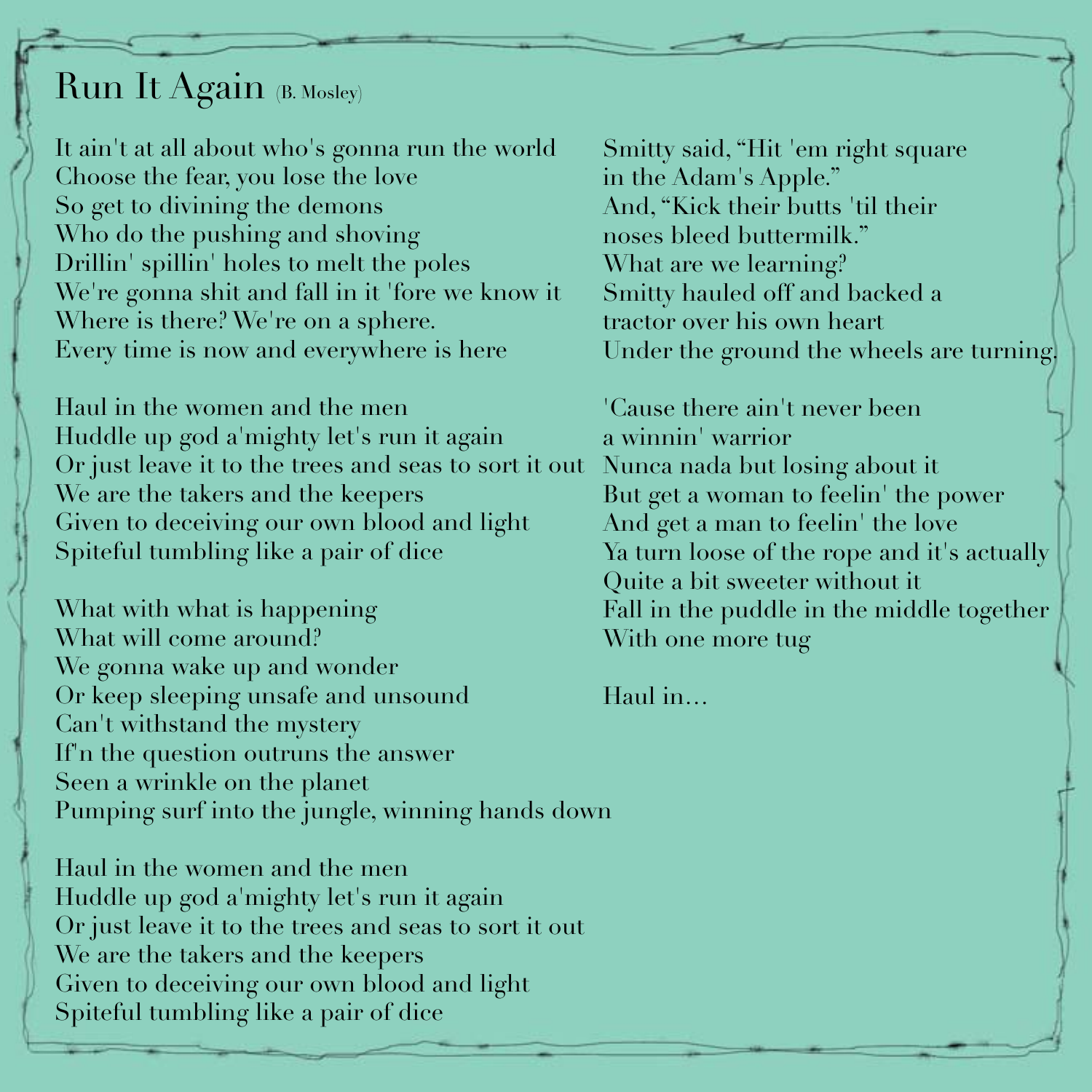## Run It Again (B. Mosley)

It ain't at all about who's gonna run the world Choose the fear, you lose the love So get to divining the demons Who do the pushing and shoving Drillin' spillin' holes to melt the poles We're gonna shit and fall in it 'fore we know it Where is there? We're on a sphere. Every time is now and everywhere is here

Haul in the women and the men Huddle up god a'mighty let's run it again Or just leave it to the trees and seas to sort it out We are the takers and the keepers Given to deceiving our own blood and light Spiteful tumbling like a pair of dice

What with what is happening What will come around? We gonna wake up and wonder Or keep sleeping unsafe and unsound Can't withstand the mystery If'n the question outruns the answer Seen a wrinkle on the planet Pumping surf into the jungle, winning hands down

Haul in the women and the men Huddle up god a'mighty let's run it again Or just leave it to the trees and seas to sort it out We are the takers and the keepers Given to deceiving our own blood and light Spiteful tumbling like a pair of dice

Smitty said, "Hit 'em right square in the Adam's Apple." And, "Kick their butts 'til their noses bleed buttermilk." What are we learning? Smitty hauled off and backed a tractor over his own heart Under the ground the wheels are turning.

'Cause there ain't never been a winnin' warrior Nunca nada but losing about it But get a woman to feelin' the power And get a man to feelin' the love Ya turn loose of the rope and it's actually Quite a bit sweeter without it Fall in the puddle in the middle together With one more tug

Haul in…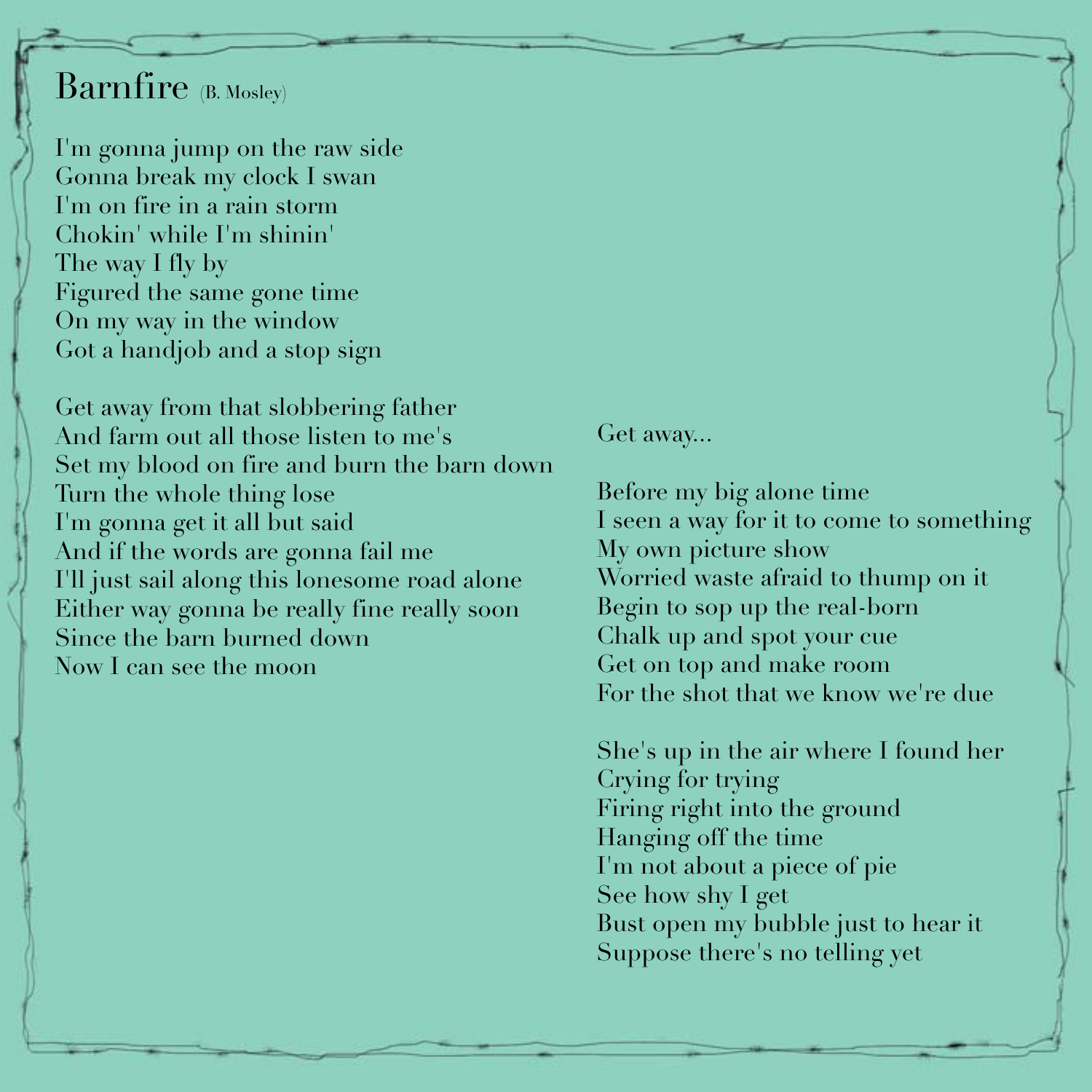### Barnfire (B. Mosley)

I'm gonna jump on the raw side Gonna break my clock I swan I'm on fire in a rain storm Chokin' while I'm shinin' The way I fly by Figured the same gone time On my way in the window Got a handjob and a stop sign

Get away from that slobbering father And farm out all those listen to me's Set my blood on fire and burn the barn down Turn the whole thing lose I'm gonna get it all but said And if the words are gonna fail me I'll just sail along this lonesome road alone Either way gonna be really fine really soon Since the barn burned down Now I can see the moon

Get away...

Before my big alone time I seen a way for it to come to something My own picture show Worried waste afraid to thump on it Begin to sop up the real-born Chalk up and spot your cue Get on top and make room For the shot that we know we're due

She's up in the air where I found her Crying for trying Firing right into the ground Hanging off the time I'm not about a piece of pie See how shy I get Bust open my bubble just to hear it Suppose there's no telling yet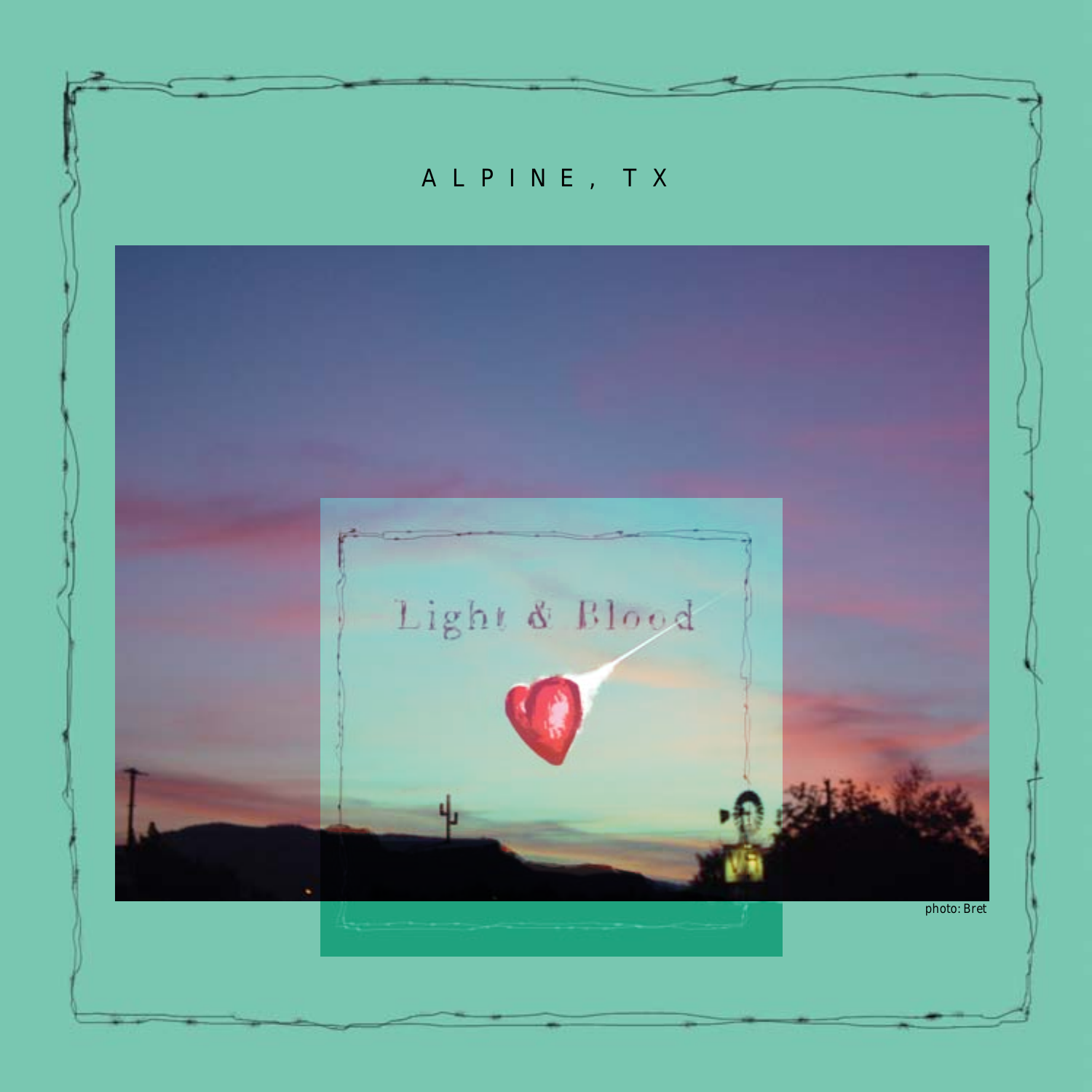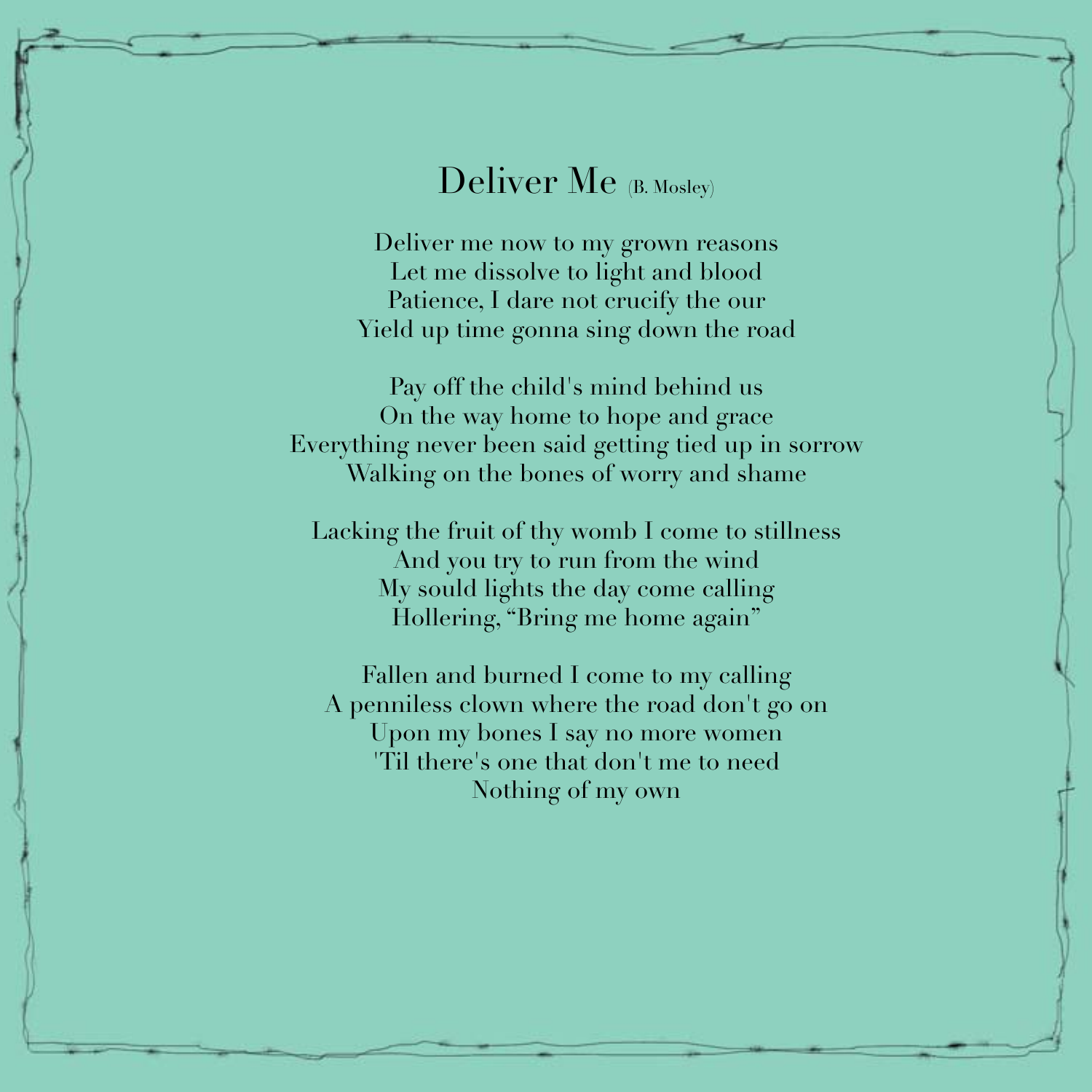### Deliver Me (B. Mosley)

Deliver me now to my grown reasons Let me dissolve to light and blood Patience, I dare not crucify the our Yield up time gonna sing down the road

Pay off the child's mind behind us On the way home to hope and grace Everything never been said getting tied up in sorrow Walking on the bones of worry and shame

Lacking the fruit of thy womb I come to stillness And you try to run from the wind My sould lights the day come calling Hollering, "Bring me home again"

Fallen and burned I come to my calling A penniless clown where the road don't go on Upon my bones I say no more women 'Til there's one that don't me to need Nothing of my own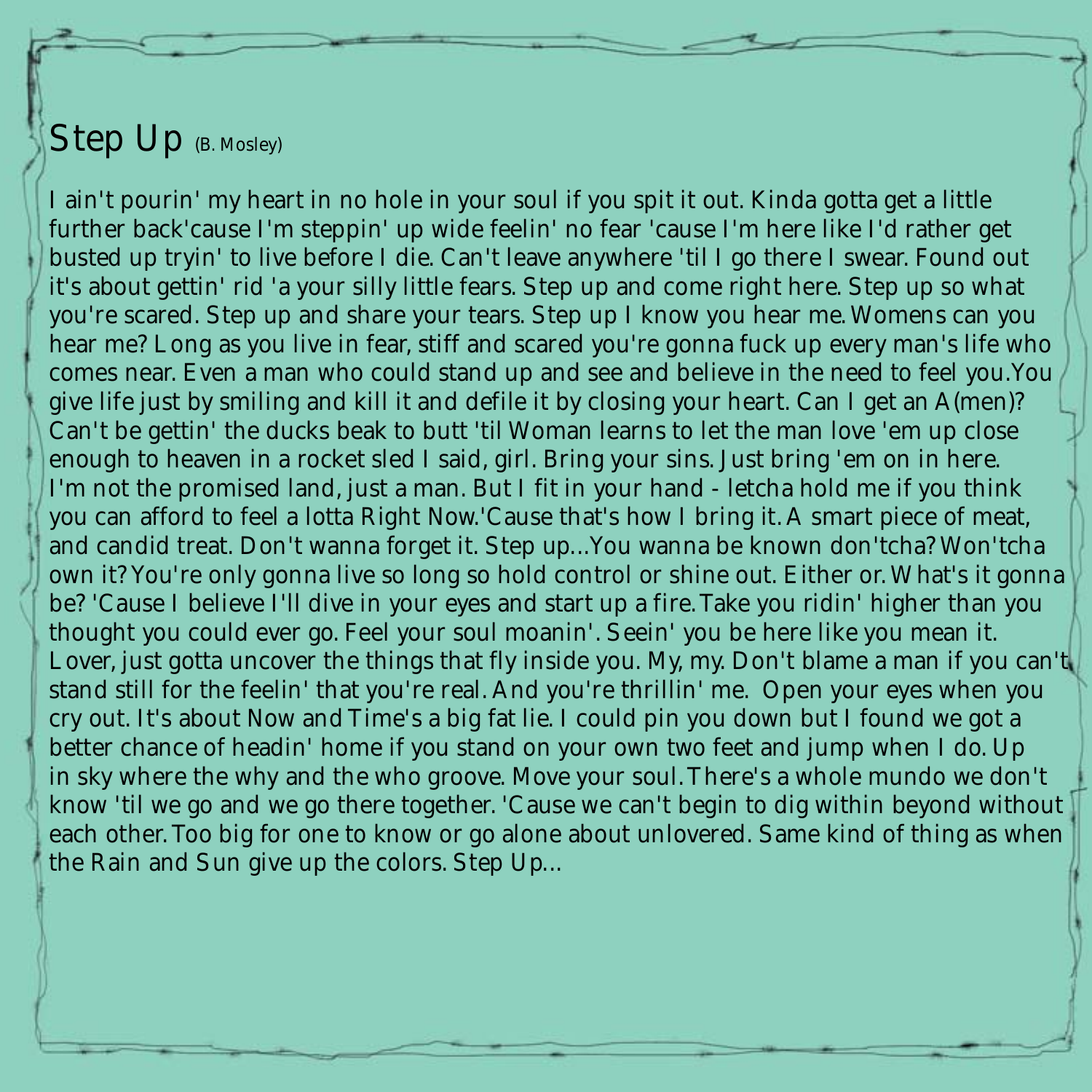#### Step Up (B. Mosley)

I ain't pourin' my heart in no hole in your soul if you spit it out. Kinda gotta get a little further back'cause I'm steppin' up wide feelin' no fear 'cause I'm here like I'd rather get busted up tryin' to live before I die. Can't leave anywhere 'til I go there I swear. Found out it's about gettin' rid 'a your silly little fears. Step up and come right here. Step up so what you're scared. Step up and share your tears. Step up I know you hear me. Womens can you hear me? Long as you live in fear, stiff and scared you're gonna fuck up every man's life who comes near. Even a man who could stand up and see and believe in the need to feel you.You give life just by smiling and kill it and defile it by closing your heart. Can I get an A(men)? Can't be gettin' the ducks beak to butt 'til Woman learns to let the man love 'em up close enough to heaven in a rocket sled I said, girl. Bring your sins. Just bring 'em on in here. I'm not the promised land, just a man. But I fit in your hand - letcha hold me if you think you can afford to feel a lotta Right Now.'Cause that's how I bring it. A smart piece of meat, and candid treat. Don't wanna forget it. Step up...You wanna be known don'tcha? Won'tcha own it? You're only gonna live so long so hold control or shine out. Either or. What's it gonna be? 'Cause I believe I'll dive in your eyes and start up a fire. Take you ridin' higher than you thought you could ever go. Feel your soul moanin'. Seein' you be here like you mean it. Lover, just gotta uncover the things that fly inside you. My, my. Don't blame a man if you can't stand still for the feelin' that you're real. And you're thrillin' me. Open your eyes when you cry out. It's about Now and Time's a big fat lie. I could pin you down but I found we got a better chance of headin' home if you stand on your own two feet and jump when I do. Up in sky where the why and the who groove. Move your soul. There's a whole mundo we don't know 'til we go and we go there together. 'Cause we can't begin to dig within beyond without each other. Too big for one to know or go alone about unlovered. Same kind of thing as when the Rain and Sun give up the colors. Step Up...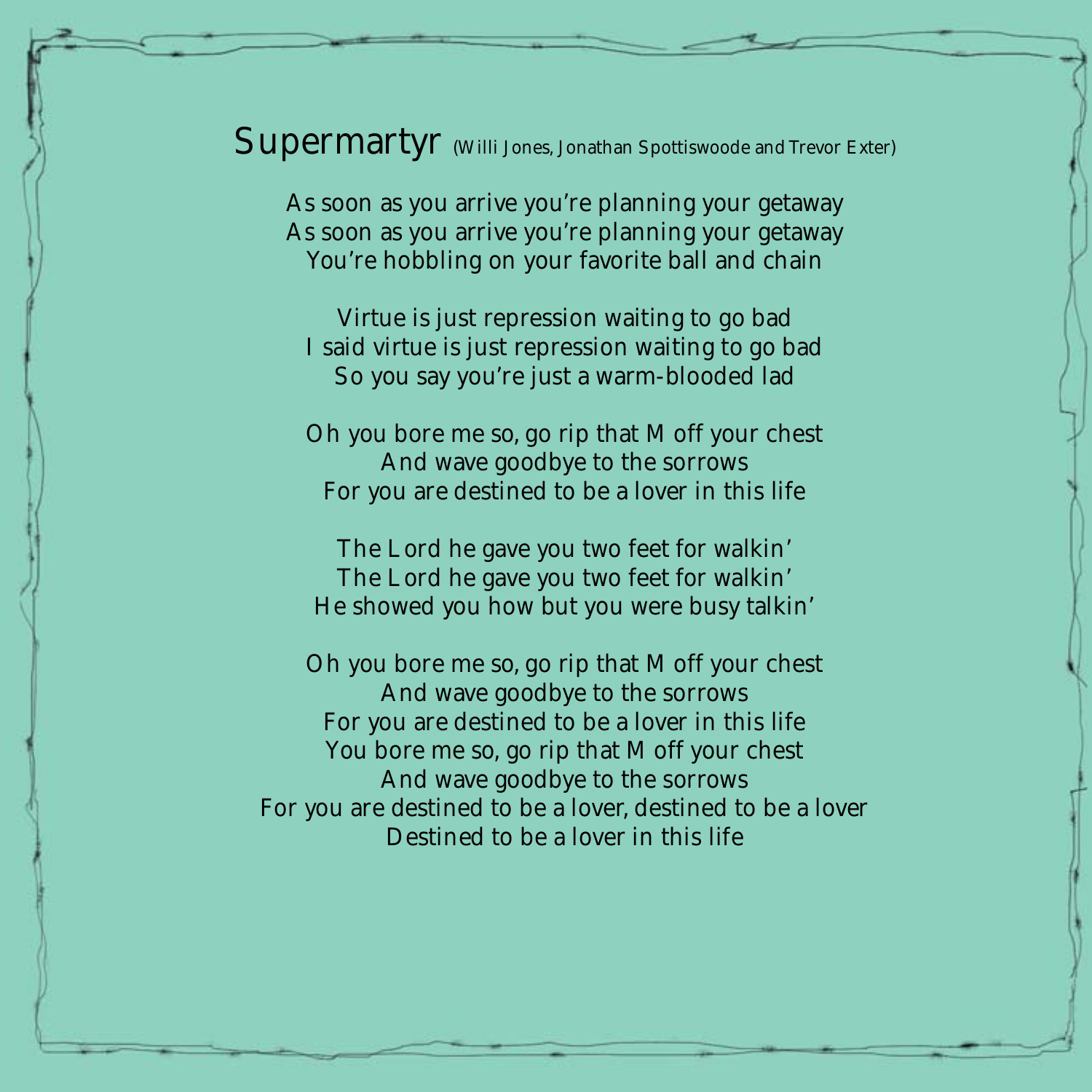Supermartyr (Willi Jones, Jonathan Spottiswoode and Trevor Exter)

As soon as you arrive you're planning your getaway As soon as you arrive you're planning your getaway You're hobbling on your favorite ball and chain

Virtue is just repression waiting to go bad I said virtue is just repression waiting to go bad So you say you're just a warm-blooded lad

Oh you bore me so, go rip that M off your chest And wave goodbye to the sorrows For you are destined to be a lover in this life

The Lord he gave you two feet for walkin' The Lord he gave you two feet for walkin' He showed you how but you were busy talkin'

Oh you bore me so, go rip that M off your chest And wave goodbye to the sorrows For you are destined to be a lover in this life You bore me so, go rip that M off your chest And wave goodbye to the sorrows For you are destined to be a lover, destined to be a lover Destined to be a lover in this life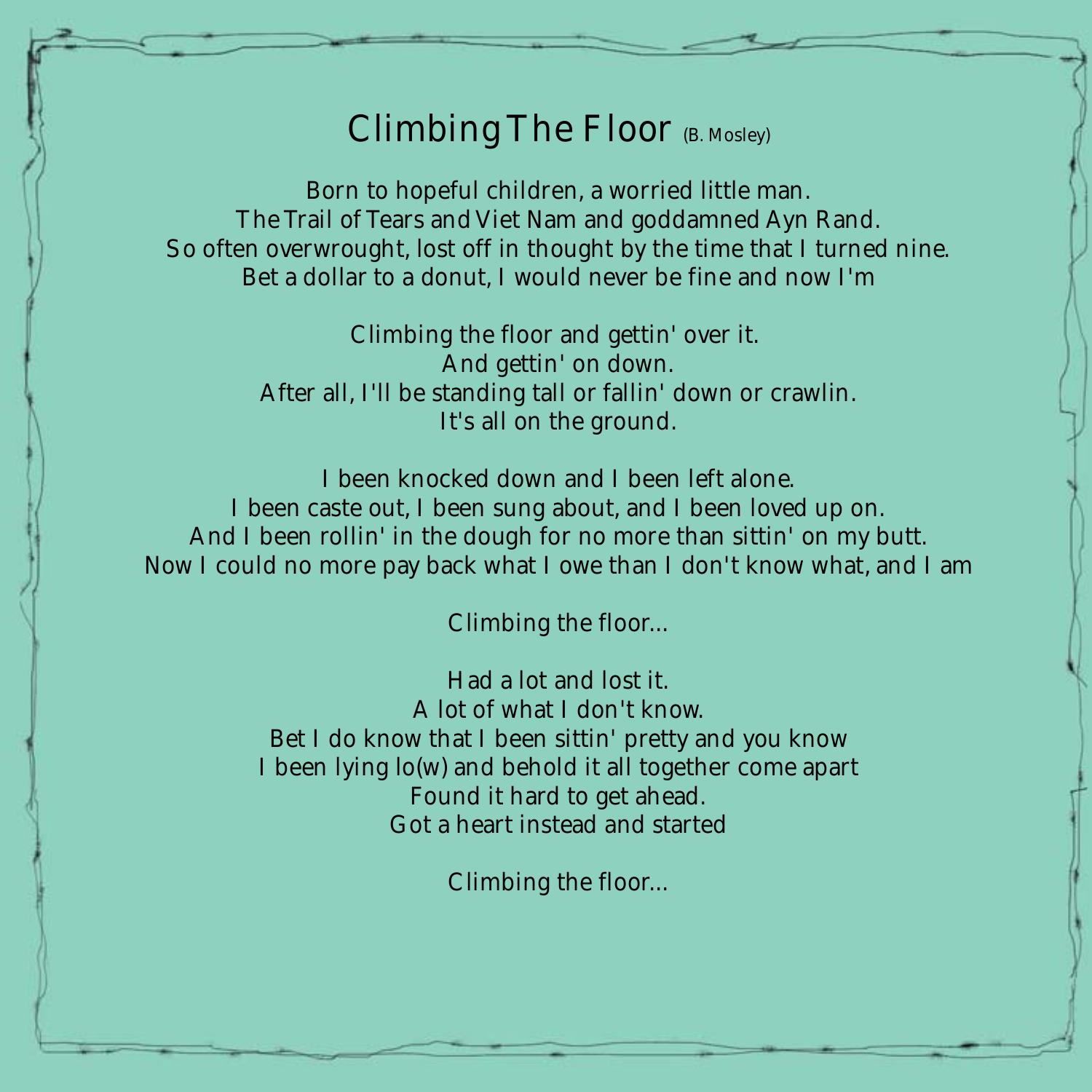### Climbing The Floor (B. Mosley)

Born to hopeful children, a worried little man. The Trail of Tears and Viet Nam and goddamned Ayn Rand. So often overwrought, lost off in thought by the time that I turned nine. Bet a dollar to a donut, I would never be fine and now I'm

> Climbing the floor and gettin' over it. And gettin' on down. After all, I'll be standing tall or fallin' down or crawlin. It's all on the ground.

I been knocked down and I been left alone. I been caste out, I been sung about, and I been loved up on. And I been rollin' in the dough for no more than sittin' on my butt. Now I could no more pay back what I owe than I don't know what, and I am

Climbing the floor...

Had a lot and lost it. A lot of what I don't know. Bet I do know that I been sittin' pretty and you know I been lying lo(w) and behold it all together come apart Found it hard to get ahead. Got a heart instead and started

Climbing the floor...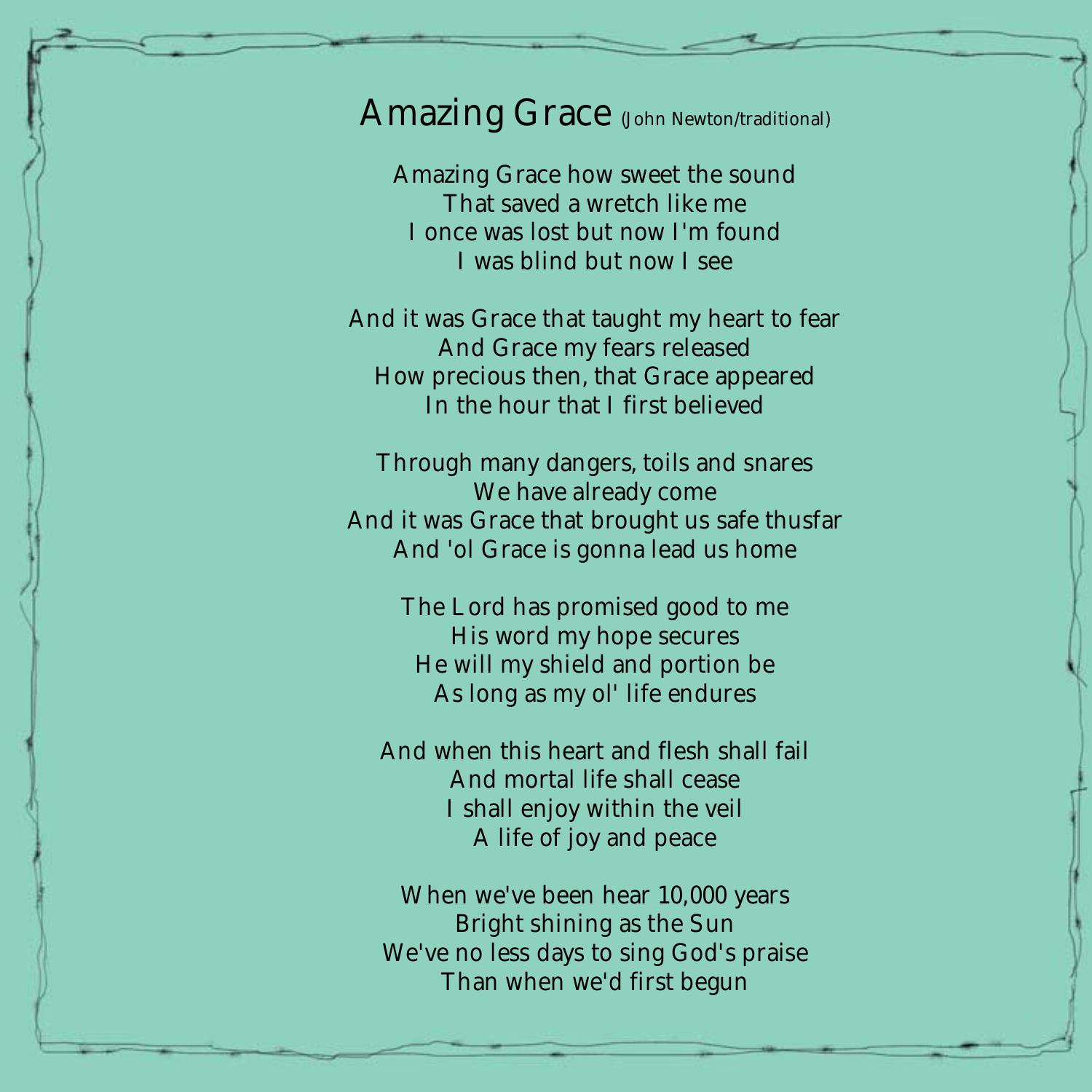#### Amazing Grace (John Newton/traditional)

Amazing Grace how sweet the sound That saved a wretch like me I once was lost but now I'm found I was blind but now I see

And it was Grace that taught my heart to fear And Grace my fears released How precious then, that Grace appeared In the hour that I first believed

Through many dangers, toils and snares We have already come And it was Grace that brought us safe thusfar And 'ol Grace is gonna lead us home

> The Lord has promised good to me His word my hope secures He will my shield and portion be As long as my ol' life endures

And when this heart and flesh shall fail And mortal life shall cease I shall enjoy within the veil A life of joy and peace

When we've been hear 10,000 years Bright shining as the Sun We've no less days to sing God's praise Than when we'd first begun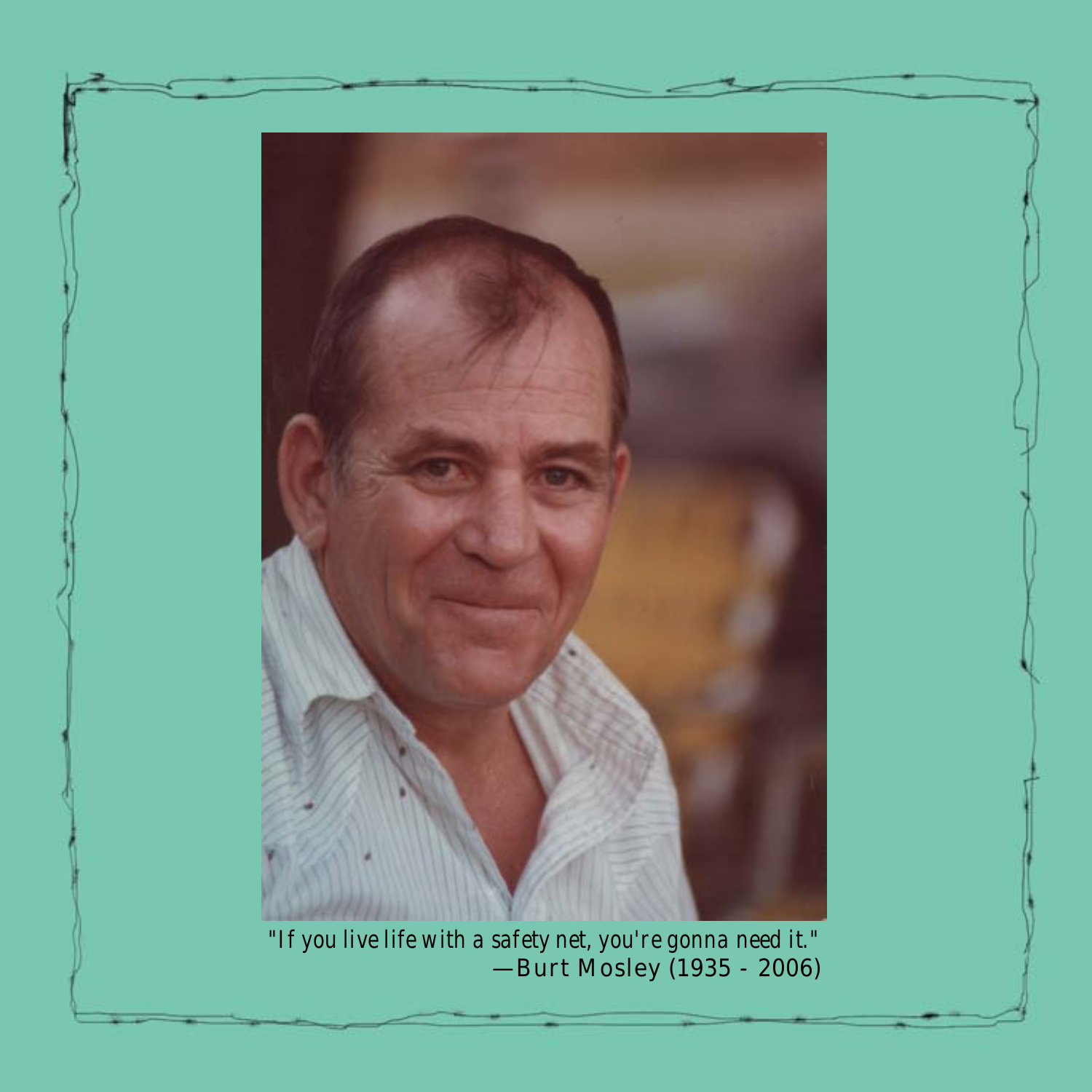